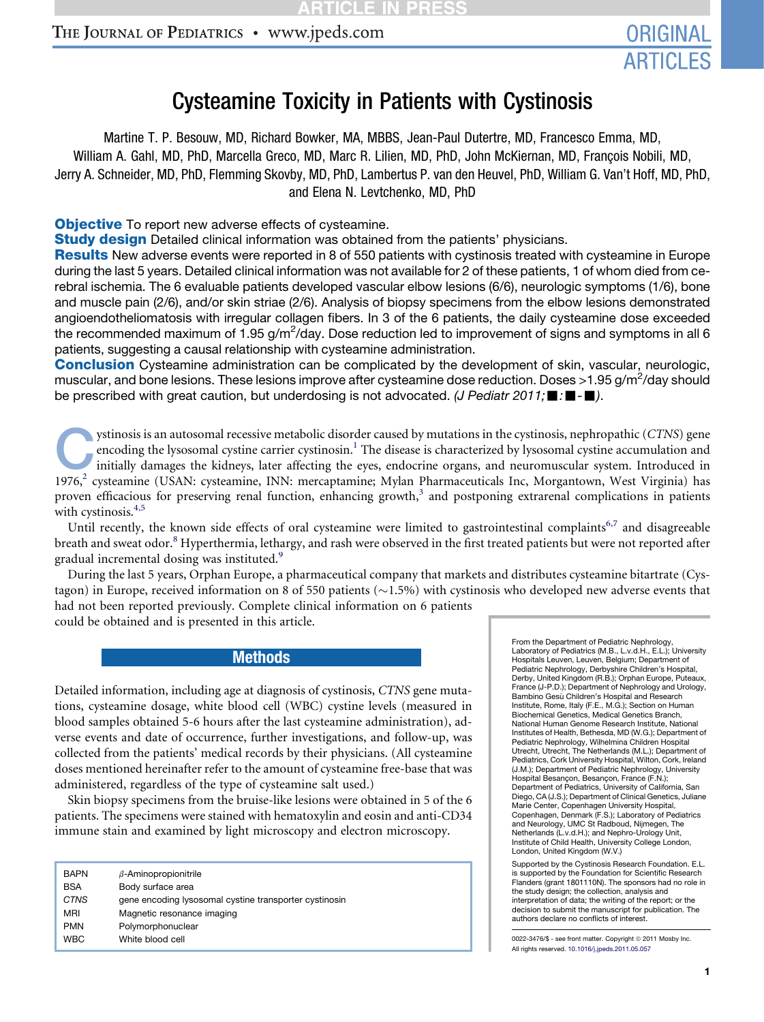# THE JOURNAL OF PEDIATRICS · www.jpeds.com

# Cysteamine Toxicity in Patients with Cystinosis

Martine T. P. Besouw, MD, Richard Bowker, MA, MBBS, Jean-Paul Dutertre, MD, Francesco Emma, MD, William A. Gahl, MD, PhD, Marcella Greco, MD, Marc R. Lilien, MD, PhD, John McKiernan, MD, François Nobili, MD, Jerry A. Schneider, MD, PhD, Flemming Skovby, MD, PhD, Lambertus P. van den Heuvel, PhD, William G. Van't Hoff, MD, PhD, and Elena N. Levtchenko, MD, PhD

**Objective** To report new adverse effects of cysteamine.

**Study design** Detailed clinical information was obtained from the patients' physicians.

Results New adverse events were reported in 8 of 550 patients with cystinosis treated with cysteamine in Europe during the last 5 years. Detailed clinical information was not available for 2 of these patients, 1 of whom died from cerebral ischemia. The 6 evaluable patients developed vascular elbow lesions (6/6), neurologic symptoms (1/6), bone and muscle pain (2/6), and/or skin striae (2/6). Analysis of biopsy specimens from the elbow lesions demonstrated angioendotheliomatosis with irregular collagen fibers. In 3 of the 6 patients, the daily cysteamine dose exceeded the recommended maximum of 1.95 g/m<sup>2</sup>/day. Dose reduction led to improvement of signs and symptoms in all 6 patients, suggesting a causal relationship with cysteamine administration.

**Conclusion** Cysteamine administration can be complicated by the development of skin, vascular, neurologic, muscular, and bone lesions. These lesions improve after cysteamine dose reduction. Doses >1.95 g/m<sup>2</sup>/day should be prescribed with great caution, but underdosing is not advocated. *(J Pediatr 2011;*  $\blacksquare$ *:* $\blacksquare$ *.* $\blacksquare$ *)*.

ystinosis is an autosomal recessive metabolic disorder caused by mutations in the cystinosis, nephropathic ([C](#page-6-0)TNS) gene<br>encoding the lysosomal cystine carrier cystinosin.<sup>1</sup> The disease is characterized by lysosomal cystine encoding the lysosomal cystine carrier cystinosin.<sup>1</sup> The disease is characterized by lysosomal cystine accumulation and initially damages the kidneys, later affecting the eyes, endocrine organs, and neuromuscular system. Introduced in 1976, $^2$  cysteamine (USAN: cysteamine, INN: mercaptamine; Mylan Pharmaceuticals Inc, Morgantown, West Virginia) has proven efficacious for preserving renal function, enhancing growth, $3$  and postponing extrarenal complications in patients with cystinosis.<sup>4,5</sup>

Until recently, the known side effects of oral cysteamine were limited to gastrointestinal complaints<sup>[6,7](#page-6-0)</sup> and disagreeable breath and sweat odor.<sup>[8](#page-6-0)</sup> Hyperthermia, lethargy, and rash were observed in the first treated patients but were not reported after gradual incremental dosing was instituted.<sup>[9](#page-6-0)</sup>

During the last 5 years, Orphan Europe, a pharmaceutical company that markets and distributes cysteamine bitartrate (Cystagon) in Europe, received information on 8 of 550 patients  $(\sim 1.5\%)$  with cystinosis who developed new adverse events that had not been reported previously. Complete clinical information on 6 patients could be obtained and is presented in this article.

Methods

Detailed information, including age at diagnosis of cystinosis, CTNS gene mutations, cysteamine dosage, white blood cell (WBC) cystine levels (measured in blood samples obtained 5-6 hours after the last cysteamine administration), adverse events and date of occurrence, further investigations, and follow-up, was collected from the patients' medical records by their physicians. (All cysteamine doses mentioned hereinafter refer to the amount of cysteamine free-base that was administered, regardless of the type of cysteamine salt used.)

Skin biopsy specimens from the bruise-like lesions were obtained in 5 of the 6 patients. The specimens were stained with hematoxylin and eosin and anti-CD34 immune stain and examined by light microscopy and electron microscopy.

| <b>BAPN</b><br><b>BSA</b> | $\beta$ -Aminopropionitrile<br>Body surface area       |
|---------------------------|--------------------------------------------------------|
| <b>CTNS</b>               | gene encoding lysosomal cystine transporter cystinosin |
| <b>MRI</b>                | Magnetic resonance imaging                             |
| <b>PMN</b>                | Polymorphonuclear                                      |
| <b>WBC</b>                | White blood cell                                       |

From the Department of Pediatric Nephrology, Laboratory of Pediatrics (M.B., L.v.d.H., E.L.); University Hospitals Leuven, Leuven, Belgium; Department of Pediatric Nephrology, Derbyshire Children's Hospital, Derby, United Kingdom (R.B.); Orphan Europe, Puteaux, France (J-P.D.); Department of Nephrology and Urology, Bambino Gesù Children's Hospital and Research Institute, Rome, Italy (F.E., M.G.); Section on Human Biochemical Genetics, Medical Genetics Branch, National Human Genome Research Institute, National Institutes of Health, Bethesda, MD (W.G.); Department of Pediatric Nephrology, Wilhelmina Children Hospital Utrecht, Utrecht, The Netherlands (M.L.); Department of Pediatrics, Cork University Hospital, Wilton, Cork, Ireland (J.M.); Department of Pediatric Nephrology, University Hospital Besançon, Besançon, France (F.N.);<br>Department of Pediatrics, University of California, San Diego, CA (J.S.); Department of Clinical Genetics, Juliane Marie Center, Copenhagen University Hospital, Copenhagen, Denmark (F.S.); Laboratory of Pediatrics and Neurology, UMC St Radboud, Nijmegen, The Netherlands (L.v.d.H.); and Nephro-Urology Unit, Institute of Child Health, University College London, London, United Kingdom (W.V.)

Supported by the Cystinosis Research Foundation. E.L. is supported by the Foundation for Scientific Research Flanders (grant 1801110N). The sponsors had no role in the study design; the collection, analysis and interpretation of data; the writing of the report; or the decision to submit the manuscript for publication. The authors declare no conflicts of interest.

0022-3476/\$ - see front matter. Copyright © 2011 Mosby Inc. All rights reserved. [10.1016/j.jpeds.2011.05.057](http://dx.doi.org/10.1016/j.jpeds.2011.05.057)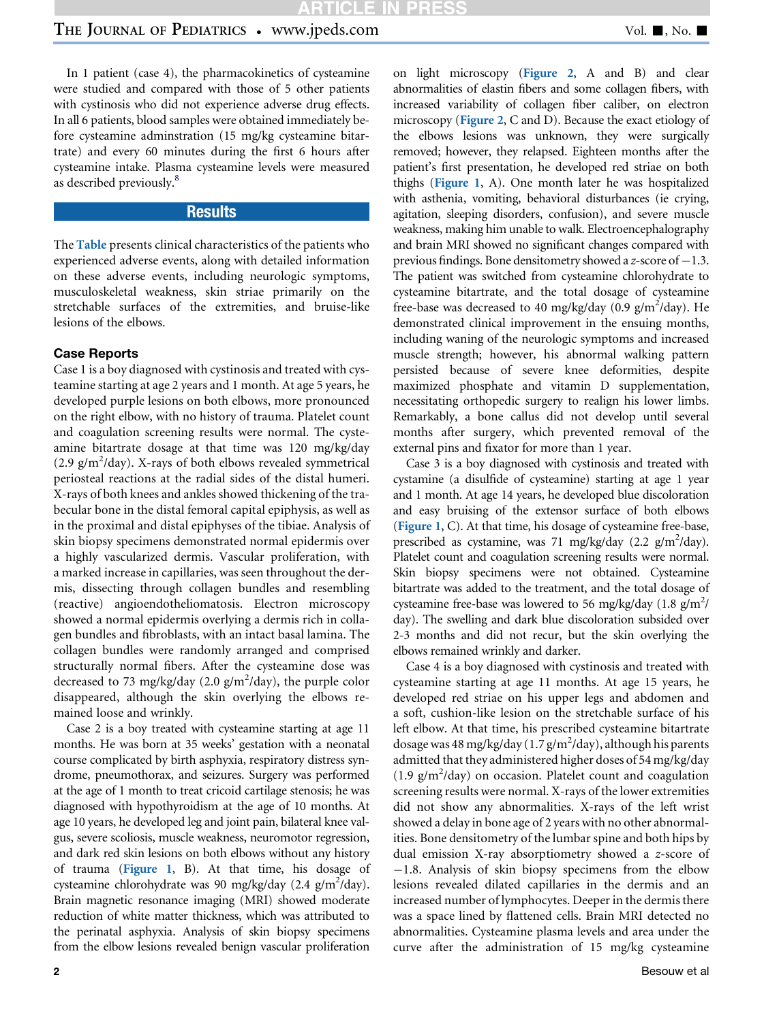In 1 patient (case 4), the pharmacokinetics of cysteamine were studied and compared with those of 5 other patients with cystinosis who did not experience adverse drug effects. In all 6 patients, blood samples were obtained immediately before cysteamine adminstration (15 mg/kg cysteamine bitartrate) and every 60 minutes during the first 6 hours after cysteamine intake. Plasma cysteamine levels were measured as described previously.<sup>[8](#page-6-0)</sup>

### **Results**

The **[Table](#page-2-0)** presents clinical characteristics of the patients who experienced adverse events, along with detailed information on these adverse events, including neurologic symptoms, musculoskeletal weakness, skin striae primarily on the stretchable surfaces of the extremities, and bruise-like lesions of the elbows.

Case 1 is a boy diagnosed with cystinosis and treated with cysteamine starting at age 2 years and 1 month. At age 5 years, he developed purple lesions on both elbows, more pronounced on the right elbow, with no history of trauma. Platelet count and coagulation screening results were normal. The cysteamine bitartrate dosage at that time was 120 mg/kg/day (2.9 g/m<sup>2</sup>/day). X-rays of both elbows revealed symmetrical periosteal reactions at the radial sides of the distal humeri. X-rays of both knees and ankles showed thickening of the trabecular bone in the distal femoral capital epiphysis, as well as in the proximal and distal epiphyses of the tibiae. Analysis of skin biopsy specimens demonstrated normal epidermis over a highly vascularized dermis. Vascular proliferation, with a marked increase in capillaries, was seen throughout the dermis, dissecting through collagen bundles and resembling (reactive) angioendotheliomatosis. Electron microscopy showed a normal epidermis overlying a dermis rich in collagen bundles and fibroblasts, with an intact basal lamina. The collagen bundles were randomly arranged and comprised structurally normal fibers. After the cysteamine dose was decreased to 73 mg/kg/day (2.0 g/m<sup>2</sup>/day), the purple color disappeared, although the skin overlying the elbows remained loose and wrinkly.

Case 2 is a boy treated with cysteamine starting at age 11 months. He was born at 35 weeks' gestation with a neonatal course complicated by birth asphyxia, respiratory distress syndrome, pneumothorax, and seizures. Surgery was performed at the age of 1 month to treat cricoid cartilage stenosis; he was diagnosed with hypothyroidism at the age of 10 months. At age 10 years, he developed leg and joint pain, bilateral knee valgus, severe scoliosis, muscle weakness, neuromotor regression, and dark red skin lesions on both elbows without any history of trauma ([Figure 1](#page-3-0), B). At that time, his dosage of cysteamine chlorohydrate was 90 mg/kg/day (2.4 g/m<sup>2</sup>/day). Brain magnetic resonance imaging (MRI) showed moderate reduction of white matter thickness, which was attributed to the perinatal asphyxia. Analysis of skin biopsy specimens from the elbow lesions revealed benign vascular proliferation

on light microscopy ([Figure 2](#page-4-0), A and B) and clear abnormalities of elastin fibers and some collagen fibers, with increased variability of collagen fiber caliber, on electron microscopy ([Figure 2](#page-4-0), C and D). Because the exact etiology of the elbows lesions was unknown, they were surgically removed; however, they relapsed. Eighteen months after the patient's first presentation, he developed red striae on both thighs ([Figure 1](#page-3-0), A). One month later he was hospitalized with asthenia, vomiting, behavioral disturbances (ie crying, agitation, sleeping disorders, confusion), and severe muscle weakness, making him unable to walk. Electroencephalography and brain MRI showed no significant changes compared with previous findings. Bone densitometry showed a z-score of  $-1.3$ . The patient was switched from cysteamine chlorohydrate to cysteamine bitartrate, and the total dosage of cysteamine free-base was decreased to 40 mg/kg/day (0.9 g/m<sup>2</sup>/day). He demonstrated clinical improvement in the ensuing months, including waning of the neurologic symptoms and increased muscle strength; however, his abnormal walking pattern persisted because of severe knee deformities, despite maximized phosphate and vitamin D supplementation, necessitating orthopedic surgery to realign his lower limbs. Remarkably, a bone callus did not develop until several months after surgery, which prevented removal of the external pins and fixator for more than 1 year.

Case 3 is a boy diagnosed with cystinosis and treated with cystamine (a disulfide of cysteamine) starting at age 1 year and 1 month. At age 14 years, he developed blue discoloration and easy bruising of the extensor surface of both elbows ([Figure 1](#page-3-0), C). At that time, his dosage of cysteamine free-base, prescribed as cystamine, was 71 mg/kg/day (2.2 g/m<sup>2</sup>/day). Platelet count and coagulation screening results were normal. Skin biopsy specimens were not obtained. Cysteamine bitartrate was added to the treatment, and the total dosage of cysteamine free-base was lowered to 56 mg/kg/day  $(1.8 \text{ g/m}^2)$ day). The swelling and dark blue discoloration subsided over 2-3 months and did not recur, but the skin overlying the elbows remained wrinkly and darker.

Case 4 is a boy diagnosed with cystinosis and treated with cysteamine starting at age 11 months. At age 15 years, he developed red striae on his upper legs and abdomen and a soft, cushion-like lesion on the stretchable surface of his left elbow. At that time, his prescribed cysteamine bitartrate dosage was 48 mg/kg/day (1.7 g/m<sup>2</sup>/day), although his parents admitted that they administered higher doses of 54 mg/kg/day (1.9 g/m<sup>2</sup> /day) on occasion. Platelet count and coagulation screening results were normal. X-rays of the lower extremities did not show any abnormalities. X-rays of the left wrist showed a delay in bone age of 2 years with no other abnormalities. Bone densitometry of the lumbar spine and both hips by dual emission X-ray absorptiometry showed a z-score of  $-1.8$ . Analysis of skin biopsy specimens from the elbow lesions revealed dilated capillaries in the dermis and an increased number of lymphocytes. Deeper in the dermis there was a space lined by flattened cells. Brain MRI detected no abnormalities. Cysteamine plasma levels and area under the curve after the administration of 15 mg/kg cysteamine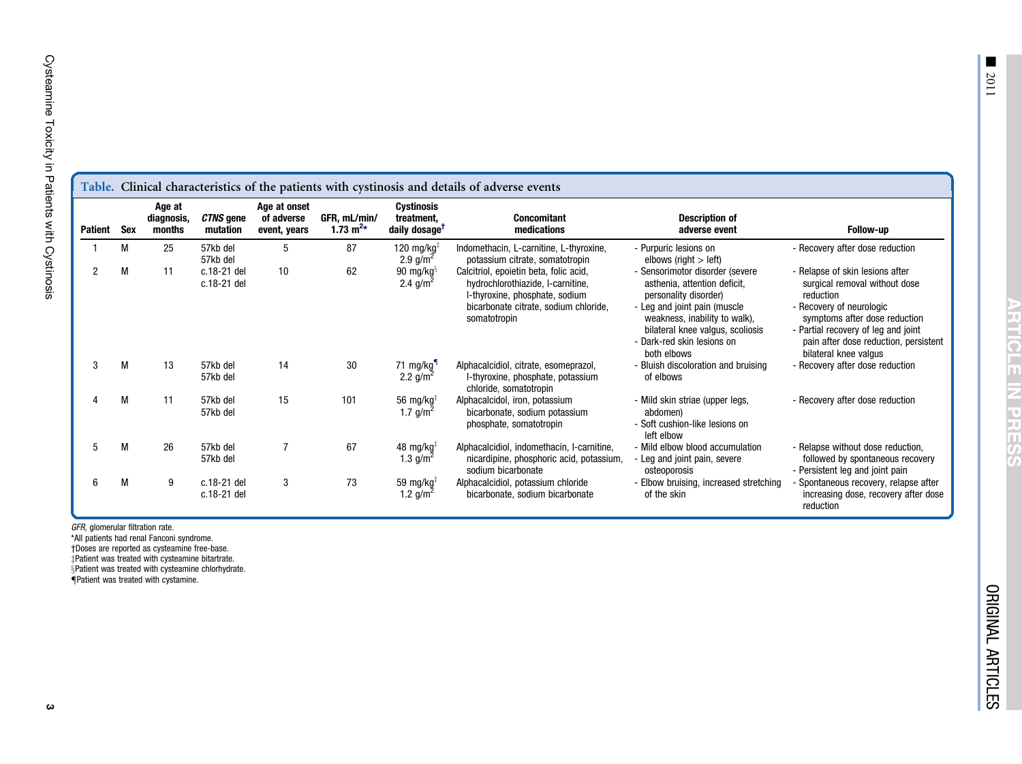<span id="page-2-0"></span>Cysteamine Toxicity in Patients with Cystinosis

|                | Table. Clinical characteristics of the patients with cystinosis and details of adverse events |                                |                            |                                            |                               |                                                       |                                                                                                                                                                        |                                                                                                                                                                                                                                            |                                                                                                                                                                                                                                                     |  |  |
|----------------|-----------------------------------------------------------------------------------------------|--------------------------------|----------------------------|--------------------------------------------|-------------------------------|-------------------------------------------------------|------------------------------------------------------------------------------------------------------------------------------------------------------------------------|--------------------------------------------------------------------------------------------------------------------------------------------------------------------------------------------------------------------------------------------|-----------------------------------------------------------------------------------------------------------------------------------------------------------------------------------------------------------------------------------------------------|--|--|
| Patient        | Sex                                                                                           | Age at<br>diagnosis,<br>months | CTNS gene<br>mutation      | Age at onset<br>of adverse<br>event, years | GFR, mL/min/<br>1.73 $m^{2*}$ | Cystinosis<br>treatment,<br>daily dosage <sup>T</sup> | <b>Concomitant</b><br>medications                                                                                                                                      | <b>Description of</b><br>adverse event                                                                                                                                                                                                     | Follow-up                                                                                                                                                                                                                                           |  |  |
|                | M                                                                                             | 25                             | 57kb del<br>57kb del       | 5                                          | 87                            | 120 mg/kg $\overline{ }$<br>2.9 $g/m^2$               | Indomethacin, L-carnitine, L-thyroxine,<br>potassium citrate, somatotropin                                                                                             | - Purpuric lesions on<br>elbows (right $>$ left)                                                                                                                                                                                           | - Recovery after dose reduction                                                                                                                                                                                                                     |  |  |
| $\overline{c}$ | М                                                                                             | 11                             | c.18-21 del<br>c.18-21 del | 10                                         | 62                            | 90 mg/kg $\frac{3}{3}$<br>2.4 $g/m^2$                 | Calcitriol, epoietin beta, folic acid,<br>hydrochlorothiazide, I-carnitine,<br>I-thyroxine, phosphate, sodium<br>bicarbonate citrate, sodium chloride,<br>somatotropin | - Sensorimotor disorder (severe<br>asthenia, attention deficit,<br>personality disorder)<br>- Leg and joint pain (muscle<br>weakness, inability to walk),<br>bilateral knee valgus, scoliosis<br>- Dark-red skin lesions on<br>both elbows | - Relapse of skin lesions after<br>surgical removal without dose<br>reduction<br>- Recovery of neurologic<br>symptoms after dose reduction<br>- Partial recovery of leg and joint<br>pain after dose reduction, persistent<br>bilateral knee valgus |  |  |
| 3              | M                                                                                             | 13                             | 57kb del<br>57kb del       | 14                                         | 30                            | 71 mg/kg<br>2.2 $g/m^2$                               | Alphacalcidiol, citrate, esomeprazol,<br>I-thyroxine, phosphate, potassium<br>chloride, somatotropin                                                                   | - Bluish discoloration and bruising<br>of elbows                                                                                                                                                                                           | - Recovery after dose reduction                                                                                                                                                                                                                     |  |  |
|                | M                                                                                             | 11                             | 57kb del<br>57kb del       | 15                                         | 101                           | 56 mg/kg $\overline{ }$<br>1.7 $g/m^2$                | Alphacalcidol, iron, potassium<br>bicarbonate, sodium potassium<br>phosphate, somatotropin                                                                             | - Mild skin striae (upper legs,<br>abdomen)<br>- Soft cushion-like lesions on<br>left elbow                                                                                                                                                | - Recovery after dose reduction                                                                                                                                                                                                                     |  |  |
|                | M                                                                                             | 26                             | 57kb del<br>57kb del       |                                            | 67                            | 48 mg/kg $\frac{1}{2}$<br>1.3 $g/m^2$                 | Alphacalcidiol, indomethacin, I-carnitine,<br>nicardipine, phosphoric acid, potassium,<br>sodium bicarbonate                                                           | - Mild elbow blood accumulation<br>- Leg and joint pain, severe<br>osteoporosis                                                                                                                                                            | - Relapse without dose reduction,<br>followed by spontaneous recovery<br>- Persistent leg and joint pain                                                                                                                                            |  |  |
|                | M                                                                                             | 9                              | c.18-21 del<br>c.18-21 del | 3                                          | 73                            | 59 mg/kg $\frac{1}{2}$<br>1.2 $g/m^2$                 | Alphacalcidiol, potassium chloride<br>bicarbonate, sodium bicarbonate                                                                                                  | - Elbow bruising, increased stretching<br>of the skin                                                                                                                                                                                      | Spontaneous recovery, relapse after<br>increasing dose, recovery after dose<br>reduction                                                                                                                                                            |  |  |

GFR, glomerular filtration rate.

\*All patients had renal Fanconi syndrome. †Doses are reported as cysteamine free-base.  $\ddagger$ Patient was treated with cysteamine bitartrate.

§Patient was treated with cysteamine chlorhydrate.<br>¶Patient was treated with cystamine.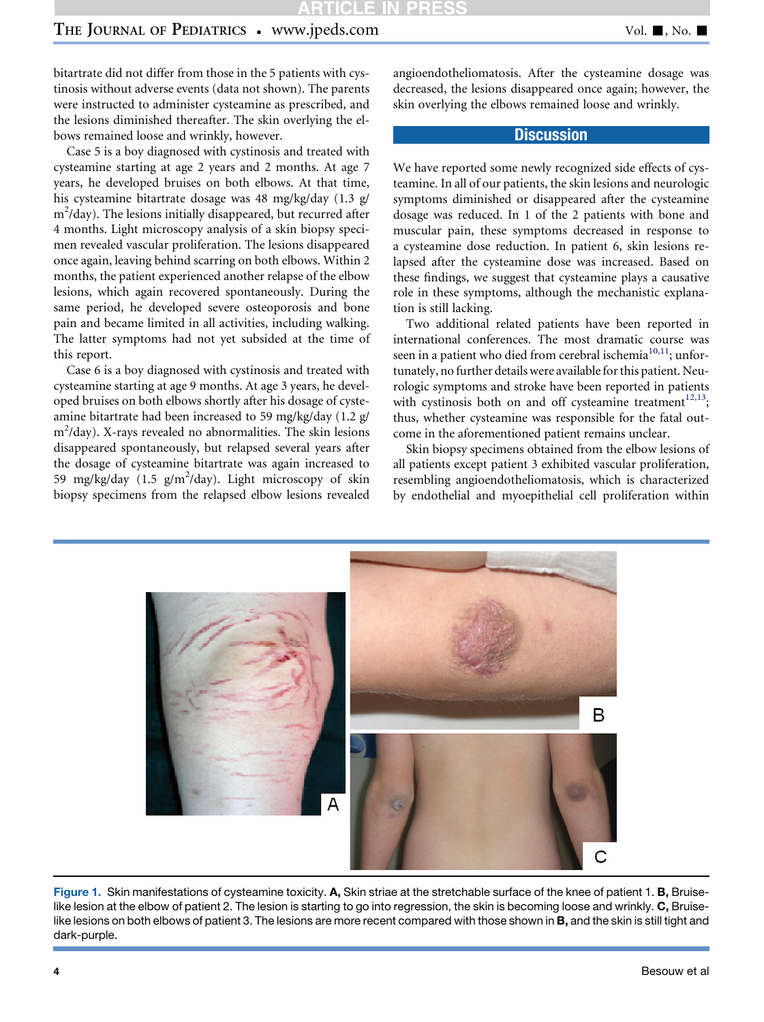# <span id="page-3-0"></span>THE JOURNAL OF PEDIATRICS • www.jpeds.com Vol. 1, No. 1

bitartrate did not differ from those in the 5 patients with cystinosis without adverse events (data not shown). The parents were instructed to administer cysteamine as prescribed, and the lesions diminished thereafter. The skin overlying the elbows remained loose and wrinkly, however.

Case 5 is a boy diagnosed with cystinosis and treated with cysteamine starting at age 2 years and 2 months. At age 7 years, he developed bruises on both elbows. At that time, his cysteamine bitartrate dosage was 48 mg/kg/day (1.3 g/ m<sup>2</sup>/day). The lesions initially disappeared, but recurred after 4 months. Light microscopy analysis of a skin biopsy specimen revealed vascular proliferation. The lesions disappeared once again, leaving behind scarring on both elbows. Within 2 months, the patient experienced another relapse of the elbow lesions, which again recovered spontaneously. During the same period, he developed severe osteoporosis and bone pain and became limited in all activities, including walking. The latter symptoms had not yet subsided at the time of this report.

Case 6 is a boy diagnosed with cystinosis and treated with cysteamine starting at age 9 months. At age 3 years, he developed bruises on both elbows shortly after his dosage of cysteamine bitartrate had been increased to 59 mg/kg/day (1.2 g/ m2 /day). X-rays revealed no abnormalities. The skin lesions disappeared spontaneously, but relapsed several years after the dosage of cysteamine bitartrate was again increased to 59 mg/kg/day  $(1.5 \text{ g/m}^2/\text{day})$ . Light microscopy of skin biopsy specimens from the relapsed elbow lesions revealed angioendotheliomatosis. After the cysteamine dosage was decreased, the lesions disappeared once again; however, the skin overlying the elbows remained loose and wrinkly.

#### **Discussion**

We have reported some newly recognized side effects of cysteamine. In all of our patients, the skin lesions and neurologic symptoms diminished or disappeared after the cysteamine dosage was reduced. In 1 of the 2 patients with bone and muscular pain, these symptoms decreased in response to a cysteamine dose reduction. In patient 6, skin lesions relapsed after the cysteamine dose was increased. Based on these findings, we suggest that cysteamine plays a causative role in these symptoms, although the mechanistic explanation is still lacking.

Two additional related patients have been reported in international conferences. The most dramatic course was seen in a patient who died from cerebral ischemia<sup>10,11</sup>; unfortunately, no further details were available for this patient. Neurologic symptoms and stroke have been reported in patients with cystinosis both on and off cysteamine treatment<sup>12,13</sup>; thus, whether cysteamine was responsible for the fatal outcome in the aforementioned patient remains unclear.

Skin biopsy specimens obtained from the elbow lesions of all patients except patient 3 exhibited vascular proliferation, resembling angioendotheliomatosis, which is characterized by endothelial and myoepithelial cell proliferation within



Figure 1. Skin manifestations of cysteamine toxicity. A, Skin striae at the stretchable surface of the knee of patient 1. B, Bruiselike lesion at the elbow of patient 2. The lesion is starting to go into regression, the skin is becoming loose and wrinkly. C, Bruiselike lesions on both elbows of patient 3. The lesions are more recent compared with those shown in B, and the skin is still tight and dark-purple.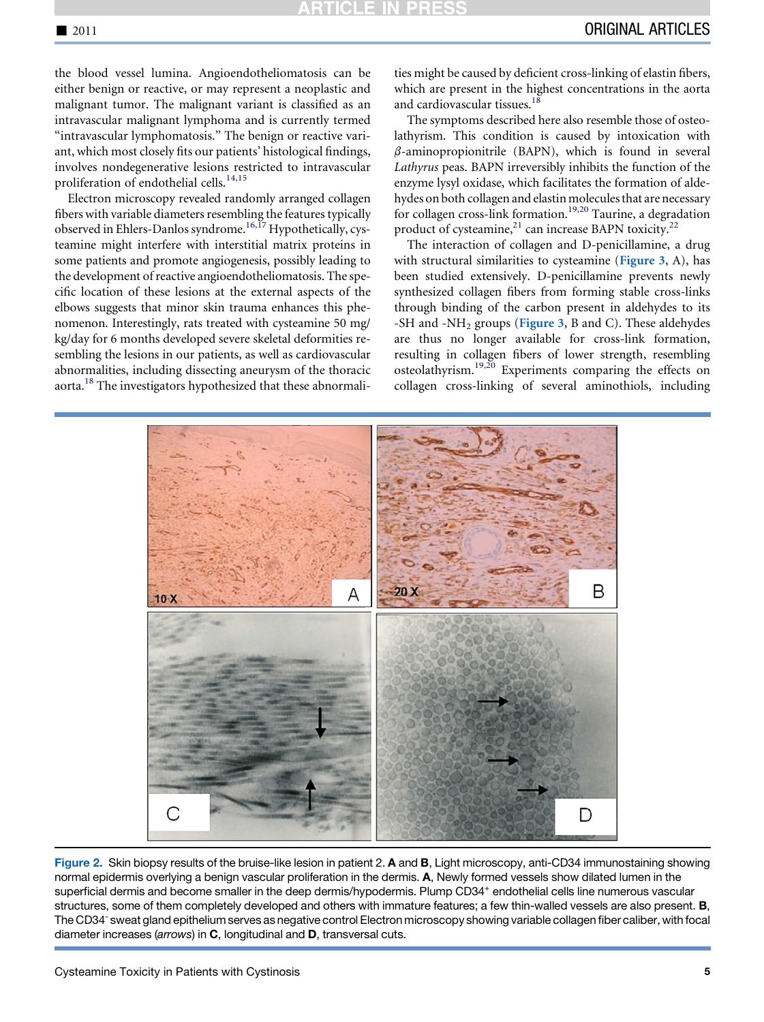<span id="page-4-0"></span>the blood vessel lumina. Angioendotheliomatosis can be either benign or reactive, or may represent a neoplastic and malignant tumor. The malignant variant is classified as an intravascular malignant lymphoma and is currently termed "intravascular lymphomatosis." The benign or reactive variant, which most closely fits our patients' histological findings, involves nondegenerative lesions restricted to intravascular proliferation of endothelial cells.<sup>[14,15](#page-6-0)</sup>

Electron microscopy revealed randomly arranged collagen fibers with variable diameters resembling the features typically observed in Ehlers-Danlos syndrome[.16,17](#page-7-0) Hypothetically, cysteamine might interfere with interstitial matrix proteins in some patients and promote angiogenesis, possibly leading to the development of reactive angioendotheliomatosis. The specific location of these lesions at the external aspects of the elbows suggests that minor skin trauma enhances this phenomenon. Interestingly, rats treated with cysteamine 50 mg/ kg/day for 6 months developed severe skeletal deformities resembling the lesions in our patients, as well as cardiovascular abnormalities, including dissecting aneurysm of the thoracic aorta.[18](#page-7-0) The investigators hypothesized that these abnormali-

ties might be caused by deficient cross-linking of elastin fibers, which are present in the highest concentrations in the aorta and cardiovascular tissues.<sup>[18](#page-7-0)</sup>

The symptoms described here also resemble those of osteolathyrism. This condition is caused by intoxication with  $\beta$ -aminopropionitrile (BAPN), which is found in several Lathyrus peas. BAPN irreversibly inhibits the function of the enzyme lysyl oxidase, which facilitates the formation of aldehydes on both collagen and elastin molecules that are necessary for collagen cross-link formation.<sup>[19,20](#page-7-0)</sup> Taurine, a degradation product of cysteamine, $^{21}$  $^{21}$  $^{21}$  can increase BAPN toxicity.<sup>[22](#page-7-0)</sup>

The interaction of collagen and D-penicillamine, a drug with structural similarities to cysteamine ([Figure 3](#page-5-0), A), has been studied extensively. D-penicillamine prevents newly synthesized collagen fibers from forming stable cross-links through binding of the carbon present in aldehydes to its -SH and -NH<sub>2</sub> groups ([Figure 3](#page-5-0), B and C). These aldehydes are thus no longer available for cross-link formation, resulting in collagen fibers of lower strength, resembling osteolathyrism.[19,20](#page-7-0) Experiments comparing the effects on collagen cross-linking of several aminothiols, including



Figure 2. Skin biopsy results of the bruise-like lesion in patient 2. A and B, Light microscopy, anti-CD34 immunostaining showing normal epidermis overlying a benign vascular proliferation in the dermis. A, Newly formed vessels show dilated lumen in the superficial dermis and become smaller in the deep dermis/hypodermis. Plump CD34<sup>+</sup> endothelial cells line numerous vascular structures, some of them completely developed and others with immature features; a few thin-walled vessels are also present. **B**, The CD34- sweat gland epithelium serves as negative control Electron microscopy showing variable collagen fiber caliber, with focal diameter increases (*arrows*) in C, longitudinal and D, transversal cuts.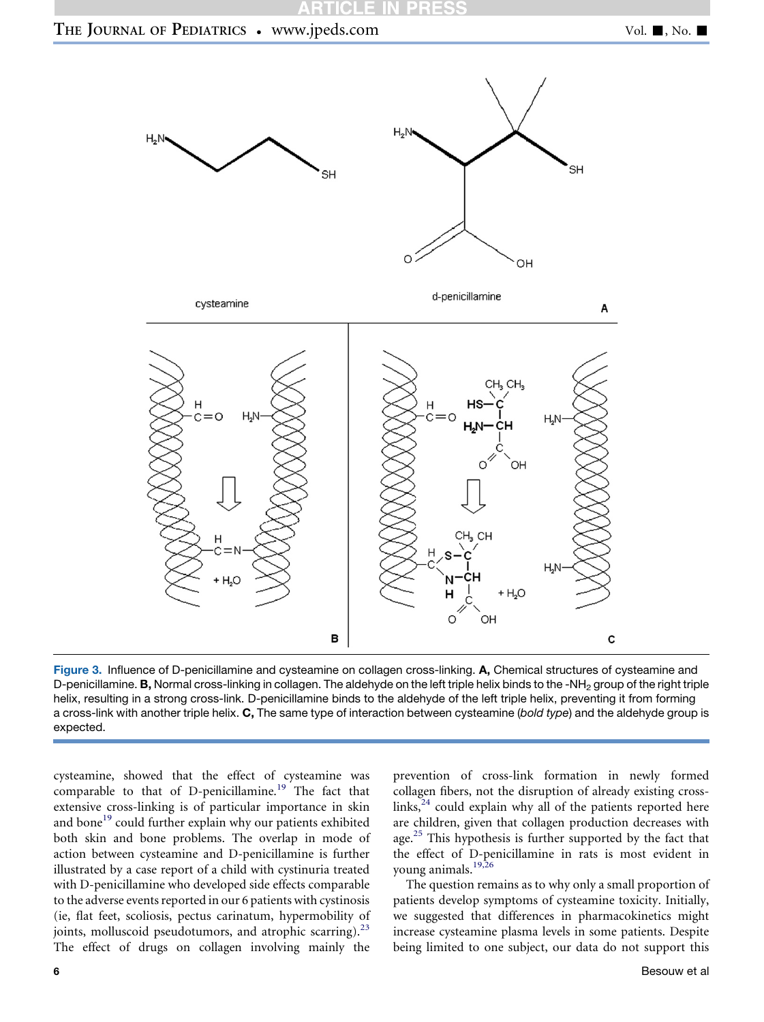

## <span id="page-5-0"></span>THE JOURNAL OF PEDIATRICS • www.jpeds.com Vol. 1, No. 1



Figure 3. Influence of D-penicillamine and cysteamine on collagen cross-linking. A, Chemical structures of cysteamine and D-penicillamine. **B**, Normal cross-linking in collagen. The aldehyde on the left triple helix binds to the -NH<sub>2</sub> group of the right triple helix, resulting in a strong cross-link. D-penicillamine binds to the aldehyde of the left triple helix, preventing it from forming a cross-link with another triple helix. C, The same type of interaction between cysteamine (*bold type*) and the aldehyde group is expected.

cysteamine, showed that the effect of cysteamine was comparable to that of D-penicillamine.<sup>[19](#page-7-0)</sup> The fact that extensive cross-linking is of particular importance in skin and bone<sup>[19](#page-7-0)</sup> could further explain why our patients exhibited both skin and bone problems. The overlap in mode of action between cysteamine and D-penicillamine is further illustrated by a case report of a child with cystinuria treated with D-penicillamine who developed side effects comparable to the adverse events reported in our 6 patients with cystinosis (ie, flat feet, scoliosis, pectus carinatum, hypermobility of joints, molluscoid pseudotumors, and atrophic scarring).<sup>[23](#page-7-0)</sup> The effect of drugs on collagen involving mainly the

prevention of cross-link formation in newly formed collagen fibers, not the disruption of already existing crosslinks, $24$  could explain why all of the patients reported here are children, given that collagen production decreases with age.<sup>[25](#page-7-0)</sup> This hypothesis is further supported by the fact that the effect of D-penicillamine in rats is most evident in young animals.[19,26](#page-7-0)

The question remains as to why only a small proportion of patients develop symptoms of cysteamine toxicity. Initially, we suggested that differences in pharmacokinetics might increase cysteamine plasma levels in some patients. Despite being limited to one subject, our data do not support this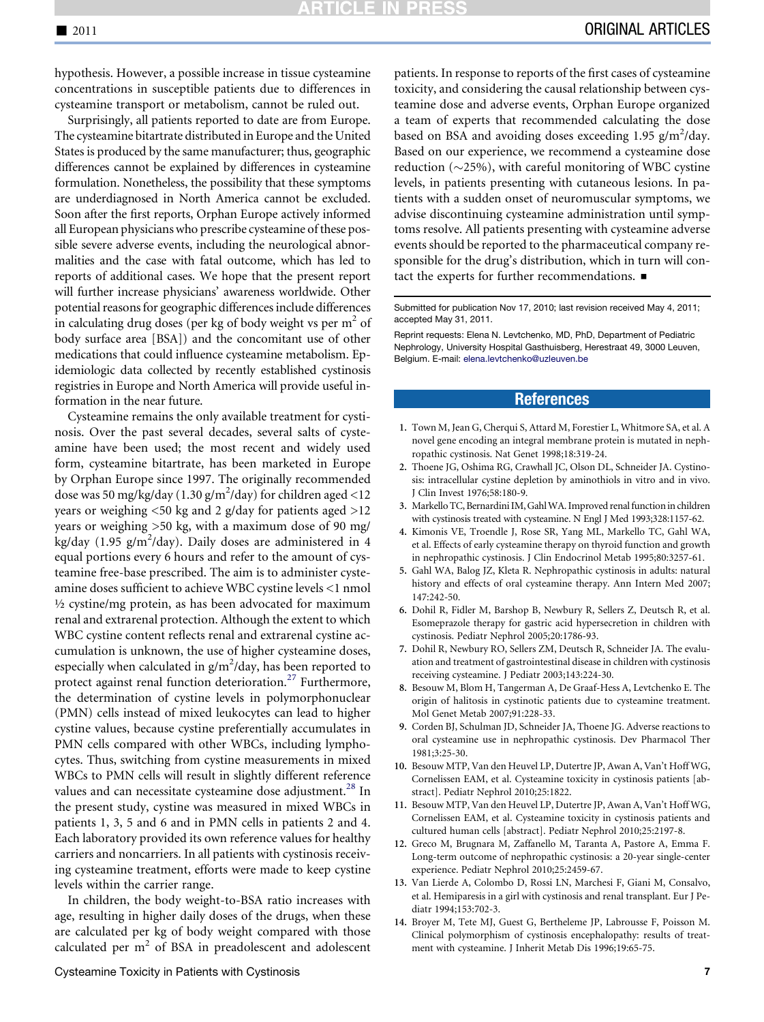<span id="page-6-0"></span>hypothesis. However, a possible increase in tissue cysteamine concentrations in susceptible patients due to differences in cysteamine transport or metabolism, cannot be ruled out.

Surprisingly, all patients reported to date are from Europe. The cysteamine bitartrate distributed in Europe and the United States is produced by the same manufacturer; thus, geographic differences cannot be explained by differences in cysteamine formulation. Nonetheless, the possibility that these symptoms are underdiagnosed in North America cannot be excluded. Soon after the first reports, Orphan Europe actively informed all European physicians who prescribe cysteamine of these possible severe adverse events, including the neurological abnormalities and the case with fatal outcome, which has led to reports of additional cases. We hope that the present report will further increase physicians' awareness worldwide. Other potential reasons for geographic differences include differences in calculating drug doses (per kg of body weight vs per  $m<sup>2</sup>$  of body surface area [BSA]) and the concomitant use of other medications that could influence cysteamine metabolism. Epidemiologic data collected by recently established cystinosis registries in Europe and North America will provide useful information in the near future.

Cysteamine remains the only available treatment for cystinosis. Over the past several decades, several salts of cysteamine have been used; the most recent and widely used form, cysteamine bitartrate, has been marketed in Europe by Orphan Europe since 1997. The originally recommended dose was 50 mg/kg/day (1.30 g/m<sup>2</sup>/day) for children aged <12 years or weighing <50 kg and 2 g/day for patients aged >12 years or weighing >50 kg, with a maximum dose of 90 mg/ kg/day (1.95 g/m<sup>2</sup>/day). Daily doses are administered in 4 equal portions every 6 hours and refer to the amount of cysteamine free-base prescribed. The aim is to administer cysteamine doses sufficient to achieve WBC cystine levels <1 nmol ½ cystine/mg protein, as has been advocated for maximum renal and extrarenal protection. Although the extent to which WBC cystine content reflects renal and extrarenal cystine accumulation is unknown, the use of higher cysteamine doses, especially when calculated in  $g/m^2$ /day, has been reported to protect against renal function deterioration.<sup>[27](#page-7-0)</sup> Furthermore, the determination of cystine levels in polymorphonuclear (PMN) cells instead of mixed leukocytes can lead to higher cystine values, because cystine preferentially accumulates in PMN cells compared with other WBCs, including lymphocytes. Thus, switching from cystine measurements in mixed WBCs to PMN cells will result in slightly different reference values and can necessitate cysteamine dose adjustment.<sup>[28](#page-7-0)</sup> In the present study, cystine was measured in mixed WBCs in patients 1, 3, 5 and 6 and in PMN cells in patients 2 and 4. Each laboratory provided its own reference values for healthy carriers and noncarriers. In all patients with cystinosis receiving cysteamine treatment, efforts were made to keep cystine levels within the carrier range.

In children, the body weight-to-BSA ratio increases with age, resulting in higher daily doses of the drugs, when these are calculated per kg of body weight compared with those calculated per  $m<sup>2</sup>$  of BSA in preadolescent and adolescent

patients. In response to reports of the first cases of cysteamine toxicity, and considering the causal relationship between cysteamine dose and adverse events, Orphan Europe organized a team of experts that recommended calculating the dose based on BSA and avoiding doses exceeding  $1.95$  g/m<sup>2</sup>/day. Based on our experience, we recommend a cysteamine dose reduction  $(\sim 25\%)$ , with careful monitoring of WBC cystine levels, in patients presenting with cutaneous lesions. In patients with a sudden onset of neuromuscular symptoms, we advise discontinuing cysteamine administration until symptoms resolve. All patients presenting with cysteamine adverse events should be reported to the pharmaceutical company responsible for the drug's distribution, which in turn will contact the experts for further recommendations.  $\blacksquare$ 

Submitted for publication Nov 17, 2010; last revision received May 4, 2011; accepted May 31, 2011.

Reprint requests: Elena N. Levtchenko, MD, PhD, Department of Pediatric Nephrology, University Hospital Gasthuisberg, Herestraat 49, 3000 Leuven, Belgium. E-mail: [elena.levtchenko@uzleuven.be](mailto:elena.levtchenko@uzleuven.be)

## **References**

- 1. Town M, Jean G, Cherqui S, Attard M, Forestier L, Whitmore SA, et al. A novel gene encoding an integral membrane protein is mutated in nephropathic cystinosis. Nat Genet 1998;18:319-24.
- 2. Thoene JG, Oshima RG, Crawhall JC, Olson DL, Schneider JA. Cystinosis: intracellular cystine depletion by aminothiols in vitro and in vivo. J Clin Invest 1976;58:180-9.
- 3. Markello TC, Bernardini IM, Gahl WA. Improved renal function in children with cystinosis treated with cysteamine. N Engl J Med 1993;328:1157-62.
- 4. Kimonis VE, Troendle J, Rose SR, Yang ML, Markello TC, Gahl WA, et al. Effects of early cysteamine therapy on thyroid function and growth in nephropathic cystinosis. J Clin Endocrinol Metab 1995;80:3257-61.
- 5. Gahl WA, Balog JZ, Kleta R. Nephropathic cystinosis in adults: natural history and effects of oral cysteamine therapy. Ann Intern Med 2007; 147:242-50.
- 6. Dohil R, Fidler M, Barshop B, Newbury R, Sellers Z, Deutsch R, et al. Esomeprazole therapy for gastric acid hypersecretion in children with cystinosis. Pediatr Nephrol 2005;20:1786-93.
- 7. Dohil R, Newbury RO, Sellers ZM, Deutsch R, Schneider JA. The evaluation and treatment of gastrointestinal disease in children with cystinosis receiving cysteamine. J Pediatr 2003;143:224-30.
- 8. Besouw M, Blom H, Tangerman A, De Graaf-Hess A, Levtchenko E. The origin of halitosis in cystinotic patients due to cysteamine treatment. Mol Genet Metab 2007;91:228-33.
- 9. Corden BJ, Schulman JD, Schneider JA, Thoene JG. Adverse reactions to oral cysteamine use in nephropathic cystinosis. Dev Pharmacol Ther 1981;3:25-30.
- 10. Besouw MTP, Van den Heuvel LP, Dutertre JP, Awan A, Van't Hoff WG, Cornelissen EAM, et al. Cysteamine toxicity in cystinosis patients [abstract]. Pediatr Nephrol 2010;25:1822.
- 11. Besouw MTP, Van den Heuvel LP, Dutertre JP, Awan A, Van't Hoff WG, Cornelissen EAM, et al. Cysteamine toxicity in cystinosis patients and cultured human cells [abstract]. Pediatr Nephrol 2010;25:2197-8.
- 12. Greco M, Brugnara M, Zaffanello M, Taranta A, Pastore A, Emma F. Long-term outcome of nephropathic cystinosis: a 20-year single-center experience. Pediatr Nephrol 2010;25:2459-67.
- 13. Van Lierde A, Colombo D, Rossi LN, Marchesi F, Giani M, Consalvo, et al. Hemiparesis in a girl with cystinosis and renal transplant. Eur J Pediatr 1994;153:702-3.
- 14. Broyer M, Tete MJ, Guest G, Bertheleme JP, Labrousse F, Poisson M. Clinical polymorphism of cystinosis encephalopathy: results of treatment with cysteamine. J Inherit Metab Dis 1996;19:65-75.